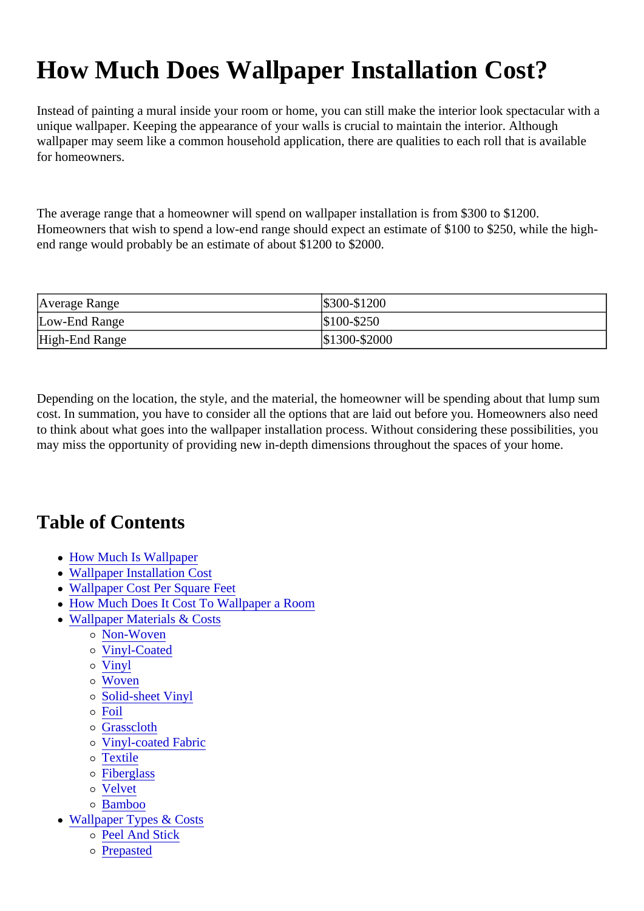# How Much Does Wallpaper Installation Cost?

Instead of painting a mural inside your room or home, you can still make the interior look spectacular with unique wallpaper. Keeping the appearance of your walls is crucial to maintain the interior. Although wallpaper may seem like a common household application, there are qualities to each roll that is available for homeowners.

The average range that a homeowner will spend on wallpaper installation is from \$300 to \$1200. Homeowners that wish to spend a low-end range should expect an estimate of \$100 to \$250, while the highend range would probably be an estimate of about \$1200 to \$2000.

| Average Range  | \$300-\$1200  |
|----------------|---------------|
| Low-End Range  | \$100-\$250   |
| High-End Range | \$1300-\$2000 |

Depending on the location, the style, and the material, the homeowner will be spending about that lump sum cost. In summation, you have to consider all the options that are laid out before you. Homeowners also ne to think about what goes into the wallpaper installation process. Without considering these possibilities, yo may miss the opportunity of providing new in-depth dimensions throughout the spaces of your home.

## Table of Contents

- [How Much Is Wallpape](#page-1-0)r
- [Wallpaper Installation Co](#page-1-0)st
- [Wallpaper Cost Per Square F](#page-2-0)eet
- [How Much Does It Cost To Wallpaper a Ro](#page-2-0)om
- [Wallpaper Materials & Cos](#page-2-0)ts
	- [Non-Woven](#page-2-0)
	- o [Vinyl-Coated](#page-3-0)
	- [Vinyl](#page-3-0)
	- [Woven](#page-3-0)
	- o [Solid-sheet Viny](#page-3-0)l
	- [Foil](#page-3-0)
	- [Grasscloth](#page-4-0)
	- [Vinyl-coated Fabri](#page-4-0)c
	- o [Textile](#page-4-0)
	- [Fiberglas](#page-4-0)s
	- o [Velvet](#page-4-0)
	- o **[Bamboo](#page-5-0)**
- [Wallpaper Types & Cos](#page-5-0)ts
	- [Peel And Stic](#page-5-0)k
	- [Prepaste](#page-5-0)d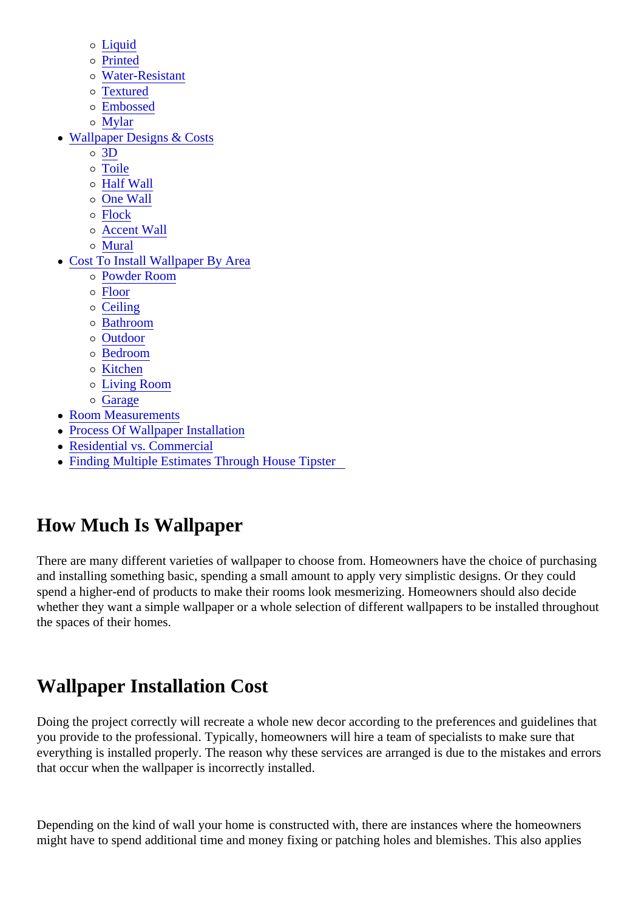- <span id="page-1-0"></span>[Liquid](#page-5-0)
- [Printed](#page-6-0)
- [Water-Resistan](#page-6-0)t
- [Textured](#page-6-0)
- [Embosse](#page-6-0)d
- [Mylar](#page-6-0)
- [Wallpaper Designs & Cos](#page-6-0)ts
	- [3D](#page-7-0)
	- [Toile](#page-7-0)
	- [Half Wall](#page-7-0)
	- o [One Wal](#page-7-0)l
	- o [Flock](#page-8-0)
	- [Accent Wal](#page-8-0)l
	- [Mural](#page-8-0)
- [Cost To Install Wallpaper By Are](#page-8-0)a
	- [Powder Room](#page-9-0)
	- [Floor](#page-9-0)
	- o [Ceiling](#page-9-0)
	- [Bathroom](#page-9-0)
	- [Outdoor](#page-9-0)
	- [Bedroom](#page-10-0)
	- o [Kitchen](#page-10-0)
	- [Living Room](#page-10-0)
	- o [Garage](#page-10-0)
- [Room Measuremen](#page-10-0)ts
- [Process Of Wallpaper Installati](#page-11-0)on
- [Residential vs. Commerc](#page-11-0)ial
- [Finding Multiple Estimates Through House Tipst](#page-12-0)er

# How Much Is Wallpaper

There are many different varieties of wallpaper to choose from. Homeowners have the choice of purchasing and installing something basic, spending a small amount to apply very simplistic designs. Or they could spend a higher-end of products to make their rooms look mesmerizing. Homeowners should also decide whether they want a simple wallpaper or a whole selection of different wallpapers to be installed throughout the spaces of their homes.

# Wallpaper Installation Cost

Doing the project correctly will recreate a whole new decor according to the preferences and guidelines the you provide to the professional. Typically, homeowners will hire a team of specialists to make sure that everything is installed properly. The reason why these services are arranged is due to the mistakes and er that occur when the wallpaper is incorrectly installed.

Depending on the kind of wall your home is constructed with, there are instances where the homeowners might have to spend additional time and money fixing or patching holes and blemishes. This also applies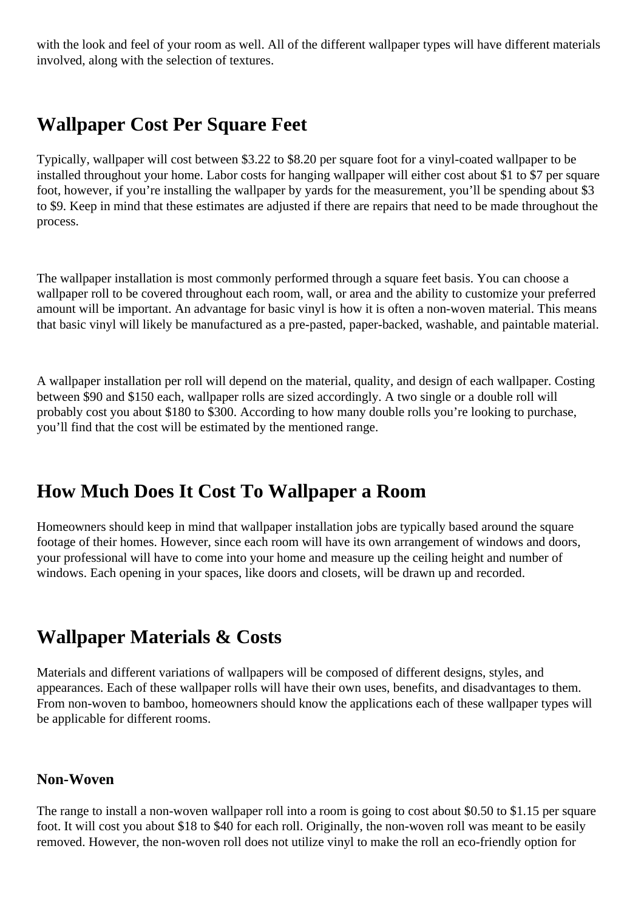<span id="page-2-0"></span>with the look and feel of your room as well. All of the different wallpaper types will have different materials involved, along with the selection of textures.

### **Wallpaper Cost Per Square Feet**

Typically, wallpaper will cost between \$3.22 to \$8.20 per square foot for a vinyl-coated wallpaper to be installed throughout your home. Labor costs for hanging wallpaper will either cost about \$1 to \$7 per square foot, however, if you're installing the wallpaper by yards for the measurement, you'll be spending about \$3 to \$9. Keep in mind that these estimates are adjusted if there are repairs that need to be made throughout the process.

The wallpaper installation is most commonly performed through a square feet basis. You can choose a wallpaper roll to be covered throughout each room, wall, or area and the ability to customize your preferred amount will be important. An advantage for basic vinyl is how it is often a non-woven material. This means that basic vinyl will likely be manufactured as a pre-pasted, paper-backed, washable, and paintable material.

A wallpaper installation per roll will depend on the material, quality, and design of each wallpaper. Costing between \$90 and \$150 each, wallpaper rolls are sized accordingly. A two single or a double roll will probably cost you about \$180 to \$300. According to how many double rolls you're looking to purchase, you'll find that the cost will be estimated by the mentioned range.

### **How Much Does It Cost To Wallpaper a Room**

Homeowners should keep in mind that wallpaper installation jobs are typically based around the square footage of their homes. However, since each room will have its own arrangement of windows and doors, your professional will have to come into your home and measure up the ceiling height and number of windows. Each opening in your spaces, like doors and closets, will be drawn up and recorded.

### **Wallpaper Materials & Costs**

Materials and different variations of wallpapers will be composed of different designs, styles, and appearances. Each of these wallpaper rolls will have their own uses, benefits, and disadvantages to them. From non-woven to bamboo, homeowners should know the applications each of these wallpaper types will be applicable for different rooms.

### **Non-Woven**

The range to install a non-woven wallpaper roll into a room is going to cost about \$0.50 to \$1.15 per square foot. It will cost you about \$18 to \$40 for each roll. Originally, the non-woven roll was meant to be easily removed. However, the non-woven roll does not utilize vinyl to make the roll an eco-friendly option for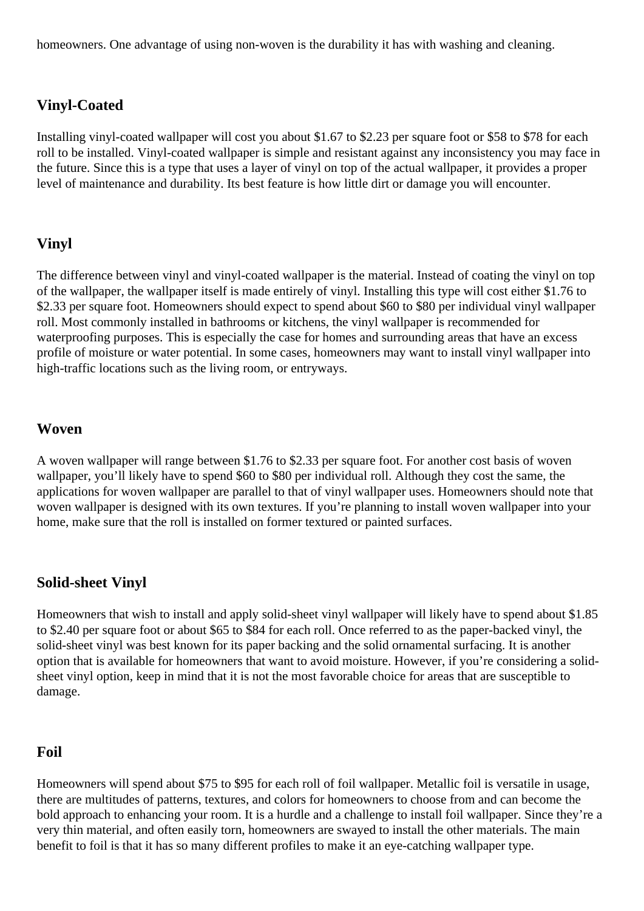<span id="page-3-0"></span>homeowners. One advantage of using non-woven is the durability it has with washing and cleaning.

### **Vinyl-Coated**

Installing vinyl-coated wallpaper will cost you about \$1.67 to \$2.23 per square foot or \$58 to \$78 for each roll to be installed. Vinyl-coated wallpaper is simple and resistant against any inconsistency you may face in the future. Since this is a type that uses a layer of vinyl on top of the actual wallpaper, it provides a proper level of maintenance and durability. Its best feature is how little dirt or damage you will encounter.

### **Vinyl**

The difference between vinyl and vinyl-coated wallpaper is the material. Instead of coating the vinyl on top of the wallpaper, the wallpaper itself is made entirely of vinyl. Installing this type will cost either \$1.76 to \$2.33 per square foot. Homeowners should expect to spend about \$60 to \$80 per individual vinyl wallpaper roll. Most commonly installed in bathrooms or kitchens, the vinyl wallpaper is recommended for waterproofing purposes. This is especially the case for homes and surrounding areas that have an excess profile of moisture or water potential. In some cases, homeowners may want to install vinyl wallpaper into high-traffic locations such as the living room, or entryways.

#### **Woven**

A woven wallpaper will range between \$1.76 to \$2.33 per square foot. For another cost basis of woven wallpaper, you'll likely have to spend \$60 to \$80 per individual roll. Although they cost the same, the applications for woven wallpaper are parallel to that of vinyl wallpaper uses. Homeowners should note that woven wallpaper is designed with its own textures. If you're planning to install woven wallpaper into your home, make sure that the roll is installed on former textured or painted surfaces.

### **Solid-sheet Vinyl**

Homeowners that wish to install and apply solid-sheet vinyl wallpaper will likely have to spend about \$1.85 to \$2.40 per square foot or about \$65 to \$84 for each roll. Once referred to as the paper-backed vinyl, the solid-sheet vinyl was best known for its paper backing and the solid ornamental surfacing. It is another option that is available for homeowners that want to avoid moisture. However, if you're considering a solidsheet vinyl option, keep in mind that it is not the most favorable choice for areas that are susceptible to damage.

#### **Foil**

Homeowners will spend about \$75 to \$95 for each roll of foil wallpaper. Metallic foil is versatile in usage, there are multitudes of patterns, textures, and colors for homeowners to choose from and can become the bold approach to enhancing your room. It is a hurdle and a challenge to install foil wallpaper. Since they're a very thin material, and often easily torn, homeowners are swayed to install the other materials. The main benefit to foil is that it has so many different profiles to make it an eye-catching wallpaper type.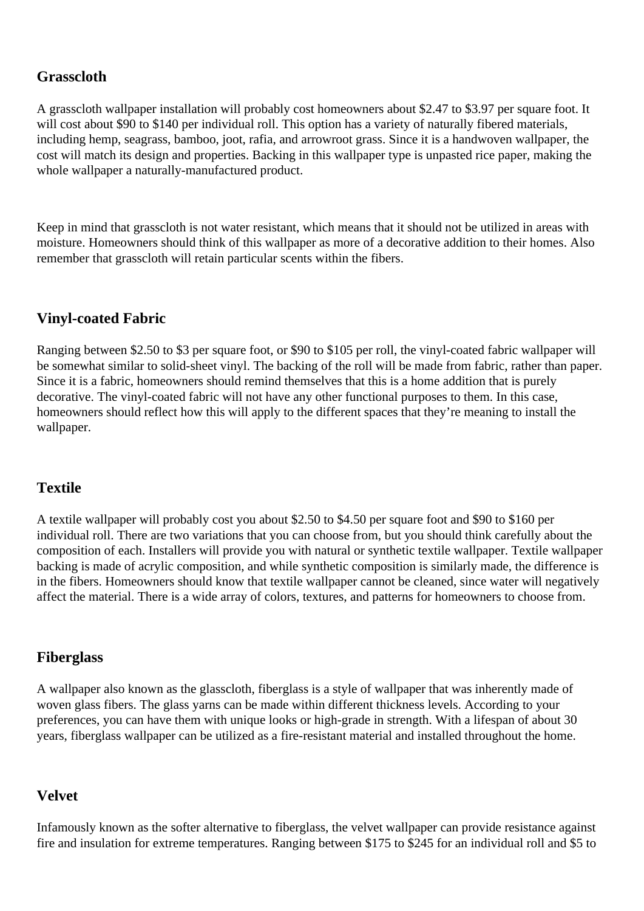### <span id="page-4-0"></span>**Grasscloth**

A grasscloth wallpaper installation will probably cost homeowners about \$2.47 to \$3.97 per square foot. It will cost about \$90 to \$140 per individual roll. This option has a variety of naturally fibered materials, including hemp, seagrass, bamboo, joot, rafia, and arrowroot grass. Since it is a handwoven wallpaper, the cost will match its design and properties. Backing in this wallpaper type is unpasted rice paper, making the whole wallpaper a naturally-manufactured product.

Keep in mind that grasscloth is not water resistant, which means that it should not be utilized in areas with moisture. Homeowners should think of this wallpaper as more of a decorative addition to their homes. Also remember that grasscloth will retain particular scents within the fibers.

### **Vinyl-coated Fabric**

Ranging between \$2.50 to \$3 per square foot, or \$90 to \$105 per roll, the vinyl-coated fabric wallpaper will be somewhat similar to solid-sheet vinyl. The backing of the roll will be made from fabric, rather than paper. Since it is a fabric, homeowners should remind themselves that this is a home addition that is purely decorative. The vinyl-coated fabric will not have any other functional purposes to them. In this case, homeowners should reflect how this will apply to the different spaces that they're meaning to install the wallpaper.

### **Textile**

A textile wallpaper will probably cost you about \$2.50 to \$4.50 per square foot and \$90 to \$160 per individual roll. There are two variations that you can choose from, but you should think carefully about the composition of each. Installers will provide you with natural or synthetic textile wallpaper. Textile wallpaper backing is made of acrylic composition, and while synthetic composition is similarly made, the difference is in the fibers. Homeowners should know that textile wallpaper cannot be cleaned, since water will negatively affect the material. There is a wide array of colors, textures, and patterns for homeowners to choose from.

### **Fiberglass**

A wallpaper also known as the glasscloth, fiberglass is a style of wallpaper that was inherently made of woven glass fibers. The glass yarns can be made within different thickness levels. According to your preferences, you can have them with unique looks or high-grade in strength. With a lifespan of about 30 years, fiberglass wallpaper can be utilized as a fire-resistant material and installed throughout the home.

### **Velvet**

Infamously known as the softer alternative to fiberglass, the velvet wallpaper can provide resistance against fire and insulation for extreme temperatures. Ranging between \$175 to \$245 for an individual roll and \$5 to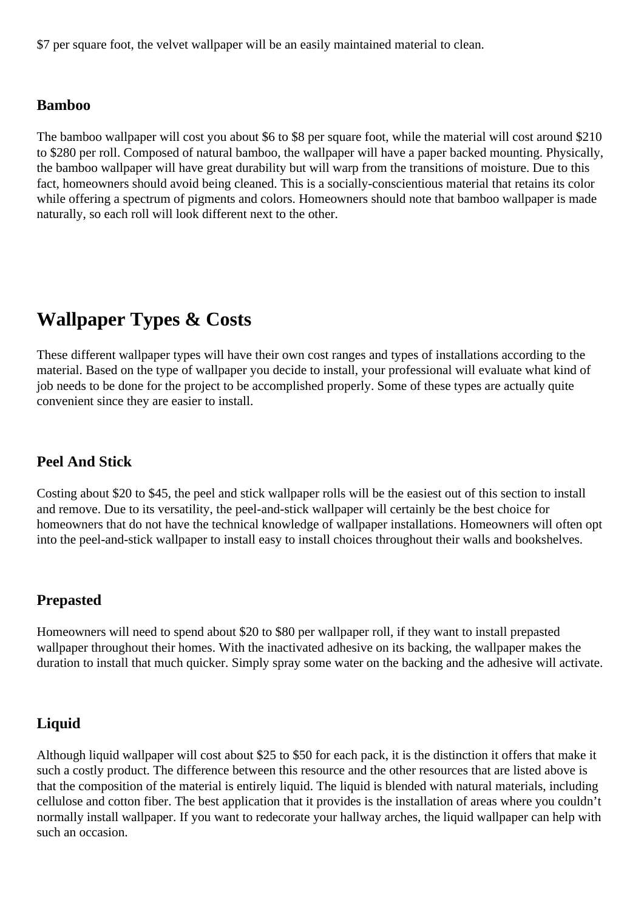<span id="page-5-0"></span>\$7 per square foot, the velvet wallpaper will be an easily maintained material to clean.

#### **Bamboo**

The bamboo wallpaper will cost you about \$6 to \$8 per square foot, while the material will cost around \$210 to \$280 per roll. Composed of natural bamboo, the wallpaper will have a paper backed mounting. Physically, the bamboo wallpaper will have great durability but will warp from the transitions of moisture. Due to this fact, homeowners should avoid being cleaned. This is a socially-conscientious material that retains its color while offering a spectrum of pigments and colors. Homeowners should note that bamboo wallpaper is made naturally, so each roll will look different next to the other.

### **Wallpaper Types & Costs**

These different wallpaper types will have their own cost ranges and types of installations according to the material. Based on the type of wallpaper you decide to install, your professional will evaluate what kind of job needs to be done for the project to be accomplished properly. Some of these types are actually quite convenient since they are easier to install.

### **Peel And Stick**

Costing about \$20 to \$45, the peel and stick wallpaper rolls will be the easiest out of this section to install and remove. Due to its versatility, the peel-and-stick wallpaper will certainly be the best choice for homeowners that do not have the technical knowledge of wallpaper installations. Homeowners will often opt into the peel-and-stick wallpaper to install easy to install choices throughout their walls and bookshelves.

#### **Prepasted**

Homeowners will need to spend about \$20 to \$80 per wallpaper roll, if they want to install prepasted wallpaper throughout their homes. With the inactivated adhesive on its backing, the wallpaper makes the duration to install that much quicker. Simply spray some water on the backing and the adhesive will activate.

### **Liquid**

Although liquid wallpaper will cost about \$25 to \$50 for each pack, it is the distinction it offers that make it such a costly product. The difference between this resource and the other resources that are listed above is that the composition of the material is entirely liquid. The liquid is blended with natural materials, including cellulose and cotton fiber. The best application that it provides is the installation of areas where you couldn't normally install wallpaper. If you want to redecorate your hallway arches, the liquid wallpaper can help with such an occasion.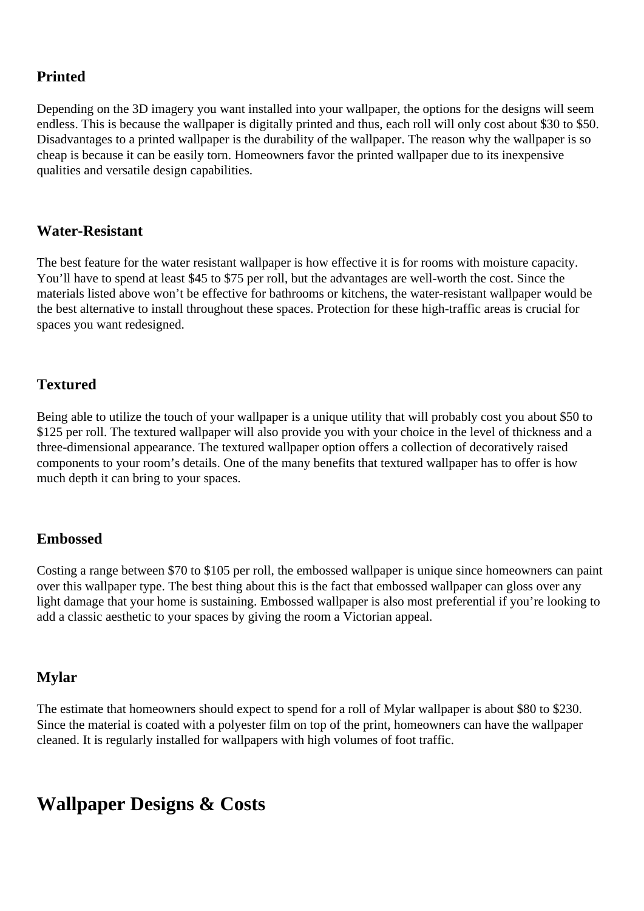### <span id="page-6-0"></span>**Printed**

Depending on the 3D imagery you want installed into your wallpaper, the options for the designs will seem endless. This is because the wallpaper is digitally printed and thus, each roll will only cost about \$30 to \$50. Disadvantages to a printed wallpaper is the durability of the wallpaper. The reason why the wallpaper is so cheap is because it can be easily torn. Homeowners favor the printed wallpaper due to its inexpensive qualities and versatile design capabilities.

### **Water-Resistant**

The best feature for the water resistant wallpaper is how effective it is for rooms with moisture capacity. You'll have to spend at least \$45 to \$75 per roll, but the advantages are well-worth the cost. Since the materials listed above won't be effective for bathrooms or kitchens, the water-resistant wallpaper would be the best alternative to install throughout these spaces. Protection for these high-traffic areas is crucial for spaces you want redesigned.

### **Textured**

Being able to utilize the touch of your wallpaper is a unique utility that will probably cost you about \$50 to \$125 per roll. The textured wallpaper will also provide you with your choice in the level of thickness and a three-dimensional appearance. The textured wallpaper option offers a collection of decoratively raised components to your room's details. One of the many benefits that textured wallpaper has to offer is how much depth it can bring to your spaces.

### **Embossed**

Costing a range between \$70 to \$105 per roll, the embossed wallpaper is unique since homeowners can paint over this wallpaper type. The best thing about this is the fact that embossed wallpaper can gloss over any light damage that your home is sustaining. Embossed wallpaper is also most preferential if you're looking to add a classic aesthetic to your spaces by giving the room a Victorian appeal.

### **Mylar**

The estimate that homeowners should expect to spend for a roll of Mylar wallpaper is about \$80 to \$230. Since the material is coated with a polyester film on top of the print, homeowners can have the wallpaper cleaned. It is regularly installed for wallpapers with high volumes of foot traffic.

### **Wallpaper Designs & Costs**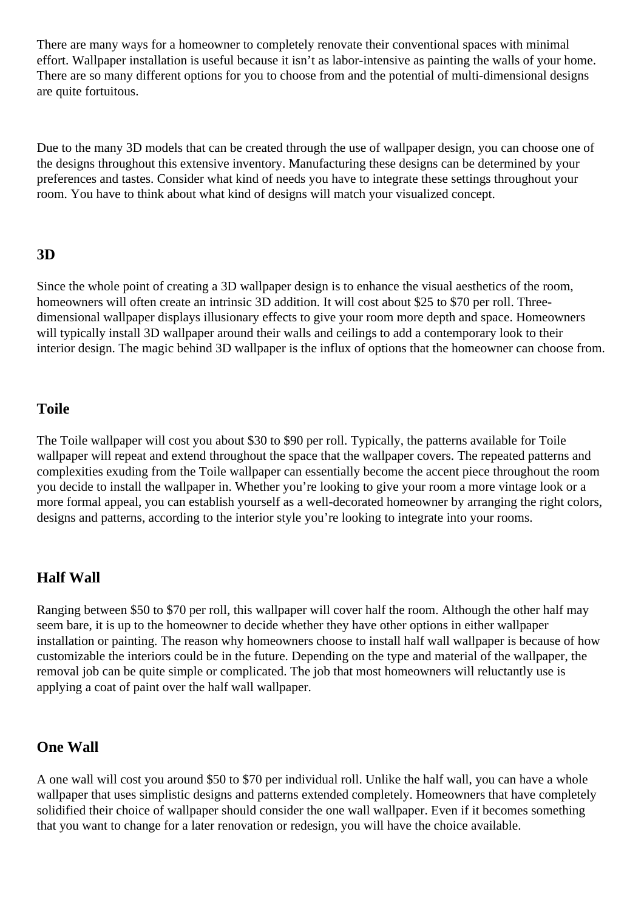<span id="page-7-0"></span>There are many ways for a homeowner to completely renovate their conventional spaces with minimal effort. Wallpaper installation is useful because it isn't as labor-intensive as painting the walls of your home. There are so many different options for you to choose from and the potential of multi-dimensional designs are quite fortuitous.

Due to the many 3D models that can be created through the use of wallpaper design, you can choose one of the designs throughout this extensive inventory. Manufacturing these designs can be determined by your preferences and tastes. Consider what kind of needs you have to integrate these settings throughout your room. You have to think about what kind of designs will match your visualized concept.

### **3D**

Since the whole point of creating a 3D wallpaper design is to enhance the visual aesthetics of the room, homeowners will often create an intrinsic 3D addition. It will cost about \$25 to \$70 per roll. Threedimensional wallpaper displays illusionary effects to give your room more depth and space. Homeowners will typically install 3D wallpaper around their walls and ceilings to add a contemporary look to their interior design. The magic behind 3D wallpaper is the influx of options that the homeowner can choose from.

### **Toile**

The Toile wallpaper will cost you about \$30 to \$90 per roll. Typically, the patterns available for Toile wallpaper will repeat and extend throughout the space that the wallpaper covers. The repeated patterns and complexities exuding from the Toile wallpaper can essentially become the accent piece throughout the room you decide to install the wallpaper in. Whether you're looking to give your room a more vintage look or a more formal appeal, you can establish yourself as a well-decorated homeowner by arranging the right colors, designs and patterns, according to the interior style you're looking to integrate into your rooms.

### **Half Wall**

Ranging between \$50 to \$70 per roll, this wallpaper will cover half the room. Although the other half may seem bare, it is up to the homeowner to decide whether they have other options in either wallpaper installation or painting. The reason why homeowners choose to install half wall wallpaper is because of how customizable the interiors could be in the future. Depending on the type and material of the wallpaper, the removal job can be quite simple or complicated. The job that most homeowners will reluctantly use is applying a coat of paint over the half wall wallpaper.

### **One Wall**

A one wall will cost you around \$50 to \$70 per individual roll. Unlike the half wall, you can have a whole wallpaper that uses simplistic designs and patterns extended completely. Homeowners that have completely solidified their choice of wallpaper should consider the one wall wallpaper. Even if it becomes something that you want to change for a later renovation or redesign, you will have the choice available.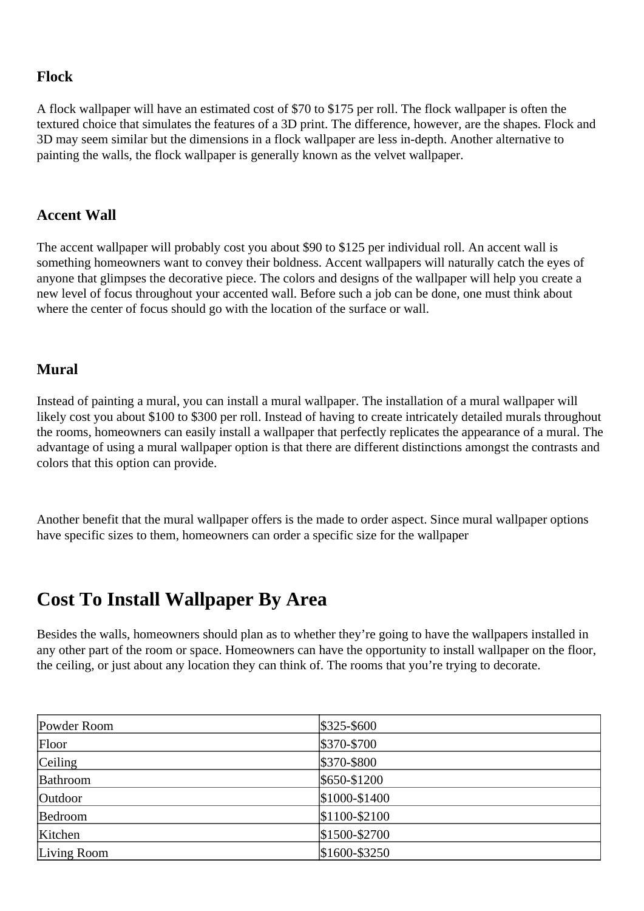### <span id="page-8-0"></span>**Flock**

A flock wallpaper will have an estimated cost of \$70 to \$175 per roll. The flock wallpaper is often the textured choice that simulates the features of a 3D print. The difference, however, are the shapes. Flock and 3D may seem similar but the dimensions in a flock wallpaper are less in-depth. Another alternative to painting the walls, the flock wallpaper is generally known as the velvet wallpaper.

### **Accent Wall**

The accent wallpaper will probably cost you about \$90 to \$125 per individual roll. An accent wall is something homeowners want to convey their boldness. Accent wallpapers will naturally catch the eyes of anyone that glimpses the decorative piece. The colors and designs of the wallpaper will help you create a new level of focus throughout your accented wall. Before such a job can be done, one must think about where the center of focus should go with the location of the surface or wall.

### **Mural**

Instead of painting a mural, you can install a mural wallpaper. The installation of a mural wallpaper will likely cost you about \$100 to \$300 per roll. Instead of having to create intricately detailed murals throughout the rooms, homeowners can easily install a wallpaper that perfectly replicates the appearance of a mural. The advantage of using a mural wallpaper option is that there are different distinctions amongst the contrasts and colors that this option can provide.

Another benefit that the mural wallpaper offers is the made to order aspect. Since mural wallpaper options have specific sizes to them, homeowners can order a specific size for the wallpaper

### **Cost To Install Wallpaper By Area**

Besides the walls, homeowners should plan as to whether they're going to have the wallpapers installed in any other part of the room or space. Homeowners can have the opportunity to install wallpaper on the floor, the ceiling, or just about any location they can think of. The rooms that you're trying to decorate.

| Powder Room | $$325 - $600$   |
|-------------|-----------------|
| Floor       | \$370-\$700     |
| Ceiling     | \$370-\$800     |
| Bathroom    | \$650-\$1200    |
| Outdoor     | $$1000 - $1400$ |
| Bedroom     | $$1100-\$2100$  |
| Kitchen     | $$1500 - $2700$ |
| Living Room | $$1600-\$3250$  |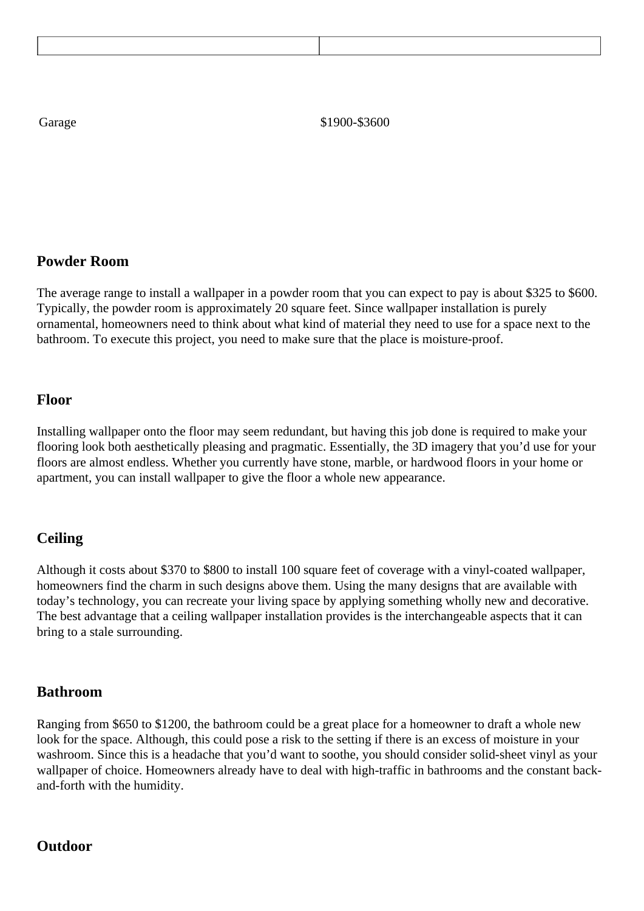<span id="page-9-0"></span>Garage \$1900-\$3600

### **Powder Room**

The average range to install a wallpaper in a powder room that you can expect to pay is about \$325 to \$600. Typically, the powder room is approximately 20 square feet. Since wallpaper installation is purely ornamental, homeowners need to think about what kind of material they need to use for a space next to the bathroom. To execute this project, you need to make sure that the place is moisture-proof.

#### **Floor**

Installing wallpaper onto the floor may seem redundant, but having this job done is required to make your flooring look both aesthetically pleasing and pragmatic. Essentially, the 3D imagery that you'd use for your floors are almost endless. Whether you currently have stone, marble, or hardwood floors in your home or apartment, you can install wallpaper to give the floor a whole new appearance.

### **Ceiling**

Although it costs about \$370 to \$800 to install 100 square feet of coverage with a vinyl-coated wallpaper, homeowners find the charm in such designs above them. Using the many designs that are available with today's technology, you can recreate your living space by applying something wholly new and decorative. The best advantage that a ceiling wallpaper installation provides is the interchangeable aspects that it can bring to a stale surrounding.

#### **Bathroom**

Ranging from \$650 to \$1200, the bathroom could be a great place for a homeowner to draft a whole new look for the space. Although, this could pose a risk to the setting if there is an excess of moisture in your washroom. Since this is a headache that you'd want to soothe, you should consider solid-sheet vinyl as your wallpaper of choice. Homeowners already have to deal with high-traffic in bathrooms and the constant backand-forth with the humidity.

#### **Outdoor**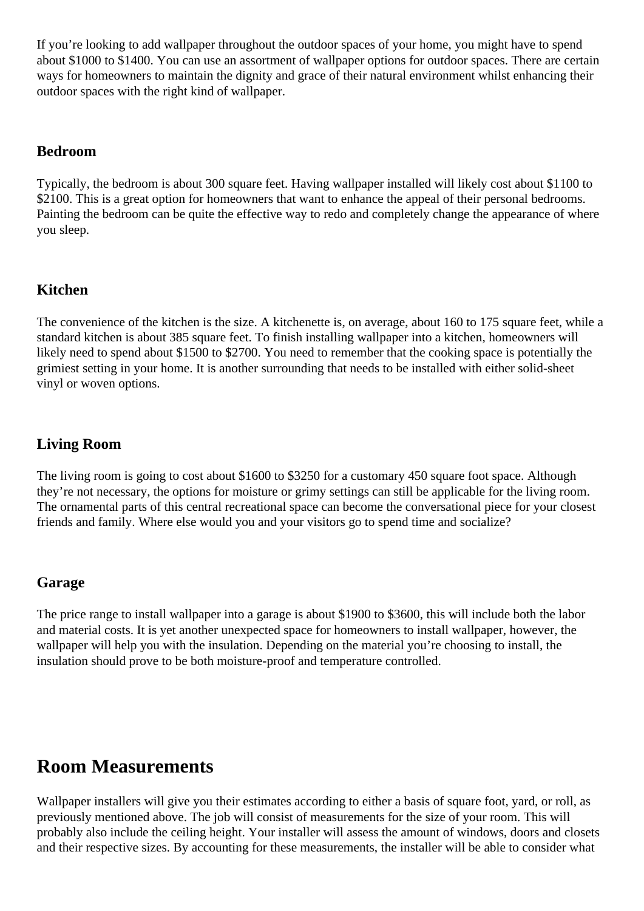<span id="page-10-0"></span>If you're looking to add wallpaper throughout the outdoor spaces of your home, you might have to spend about \$1000 to \$1400. You can use an assortment of wallpaper options for outdoor spaces. There are certain ways for homeowners to maintain the dignity and grace of their natural environment whilst enhancing their outdoor spaces with the right kind of wallpaper.

### **Bedroom**

Typically, the bedroom is about 300 square feet. Having wallpaper installed will likely cost about \$1100 to \$2100. This is a great option for homeowners that want to enhance the appeal of their personal bedrooms. Painting the bedroom can be quite the effective way to redo and completely change the appearance of where you sleep.

### **Kitchen**

The convenience of the kitchen is the size. A kitchenette is, on average, about 160 to 175 square feet, while a standard kitchen is about 385 square feet. To finish installing wallpaper into a kitchen, homeowners will likely need to spend about \$1500 to \$2700. You need to remember that the cooking space is potentially the grimiest setting in your home. It is another surrounding that needs to be installed with either solid-sheet vinyl or woven options.

### **Living Room**

The living room is going to cost about \$1600 to \$3250 for a customary 450 square foot space. Although they're not necessary, the options for moisture or grimy settings can still be applicable for the living room. The ornamental parts of this central recreational space can become the conversational piece for your closest friends and family. Where else would you and your visitors go to spend time and socialize?

### **Garage**

The price range to install wallpaper into a garage is about \$1900 to \$3600, this will include both the labor and material costs. It is yet another unexpected space for homeowners to install wallpaper, however, the wallpaper will help you with the insulation. Depending on the material you're choosing to install, the insulation should prove to be both moisture-proof and temperature controlled.

### **Room Measurements**

Wallpaper installers will give you their estimates according to either a basis of square foot, yard, or roll, as previously mentioned above. The job will consist of measurements for the size of your room. This will probably also include the ceiling height. Your installer will assess the amount of windows, doors and closets and their respective sizes. By accounting for these measurements, the installer will be able to consider what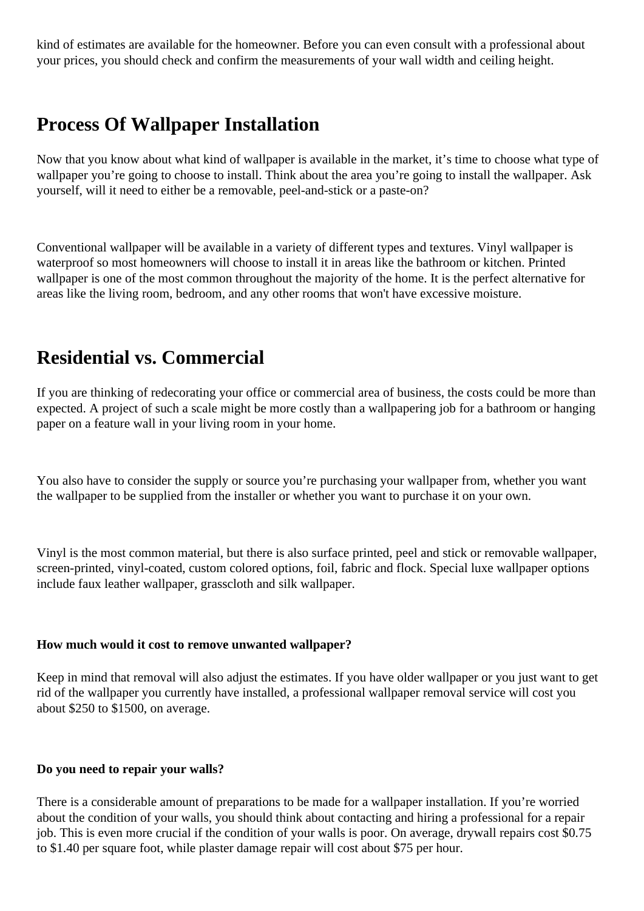<span id="page-11-0"></span>kind of estimates are available for the homeowner. Before you can even consult with a professional about your prices, you should check and confirm the measurements of your wall width and ceiling height.

### **Process Of Wallpaper Installation**

Now that you know about what kind of wallpaper is available in the market, it's time to choose what type of wallpaper you're going to choose to install. Think about the area you're going to install the wallpaper. Ask yourself, will it need to either be a removable, peel-and-stick or a paste-on?

Conventional wallpaper will be available in a variety of different types and textures. Vinyl wallpaper is waterproof so most homeowners will choose to install it in areas like the bathroom or kitchen. Printed wallpaper is one of the most common throughout the majority of the home. It is the perfect alternative for areas like the living room, bedroom, and any other rooms that won't have excessive moisture.

### **Residential vs. Commercial**

If you are thinking of redecorating your office or commercial area of business, the costs could be more than expected. A project of such a scale might be more costly than a wallpapering job for a bathroom or hanging paper on a feature wall in your living room in your home.

You also have to consider the supply or source you're purchasing your wallpaper from, whether you want the wallpaper to be supplied from the installer or whether you want to purchase it on your own.

Vinyl is the most common material, but there is also surface printed, peel and stick or removable wallpaper, screen-printed, vinyl-coated, custom colored options, foil, fabric and flock. Special luxe wallpaper options include faux leather wallpaper, grasscloth and silk wallpaper.

#### **How much would it cost to remove unwanted wallpaper?**

Keep in mind that removal will also adjust the estimates. If you have older wallpaper or you just want to get rid of the wallpaper you currently have installed, a professional wallpaper removal service will cost you about \$250 to \$1500, on average.

#### **Do you need to repair your walls?**

There is a considerable amount of preparations to be made for a wallpaper installation. If you're worried about the condition of your walls, you should think about contacting and hiring a professional for a repair job. This is even more crucial if the condition of your walls is poor. On average, drywall repairs cost \$0.75 to \$1.40 per square foot, while plaster damage repair will cost about \$75 per hour.